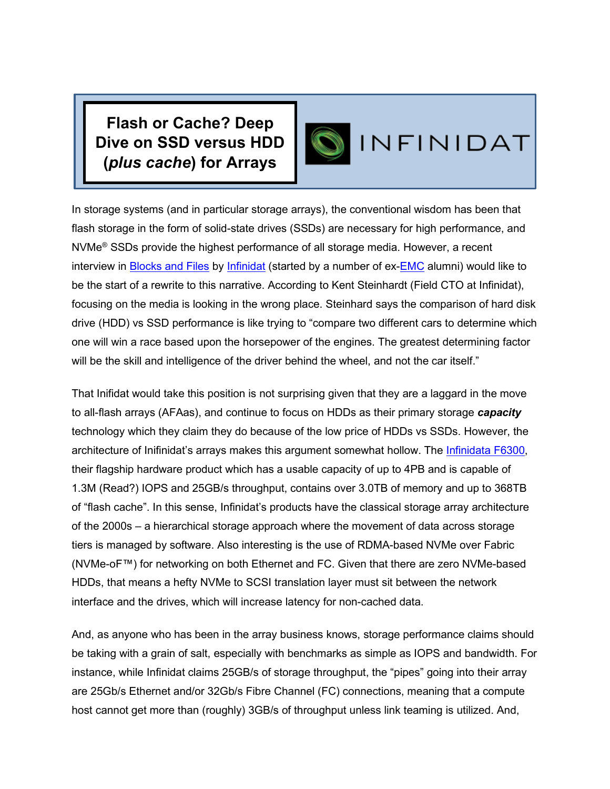**Flash or Cache? Deep Dive on SSD versus HDD (***plus cache***) for Arrays**

## INFINIDAT

In storage systems (and in particular storage arrays), the conventional wisdom has been that flash storage in the form of solid-state drives (SSDs) are necessary for high performance, and NVMe® SSDs provide the highest performance of all storage media. However, a recent interview in [Blocks and Files](http://www.blocksandfiles.com/) by [Infinidat](http://www.infinidat.com/) (started by a number of ex[-EMC](http://www.dellemc.com/) alumni) would like to be the start of a rewrite to this narrative. According to Kent Steinhardt (Field CTO at Infinidat), focusing on the media is looking in the wrong place. Steinhard says the comparison of hard disk drive (HDD) vs SSD performance is like trying to "compare two different cars to determine which one will win a race based upon the horsepower of the engines. The greatest determining factor will be the skill and intelligence of the driver behind the wheel, and not the car itself."

That Inifidat would take this position is not surprising given that they are a laggard in the move to all-flash arrays (AFAas), and continue to focus on HDDs as their primary storage *capacity* technology which they claim they do because of the low price of HDDs vs SSDs. However, the architecture of Inifinidat's arrays makes this argument somewhat hollow. The [Infinidata F6300,](https://www.infinidat.com/en/resource-pdfs/infinidat-infinibox-datasheet-us.pdf) their flagship hardware product which has a usable capacity of up to 4PB and is capable of 1.3M (Read?) IOPS and 25GB/s throughput, contains over 3.0TB of memory and up to 368TB of "flash cache". In this sense, Infinidat's products have the classical storage array architecture of the 2000s – a hierarchical storage approach where the movement of data across storage tiers is managed by software. Also interesting is the use of RDMA-based NVMe over Fabric (NVMe-oF™) for networking on both Ethernet and FC. Given that there are zero NVMe-based HDDs, that means a hefty NVMe to SCSI translation layer must sit between the network interface and the drives, which will increase latency for non-cached data.

And, as anyone who has been in the array business knows, storage performance claims should be taking with a grain of salt, especially with benchmarks as simple as IOPS and bandwidth. For instance, while Infinidat claims 25GB/s of storage throughput, the "pipes" going into their array are 25Gb/s Ethernet and/or 32Gb/s Fibre Channel (FC) connections, meaning that a compute host cannot get more than (roughly) 3GB/s of throughput unless link teaming is utilized. And,